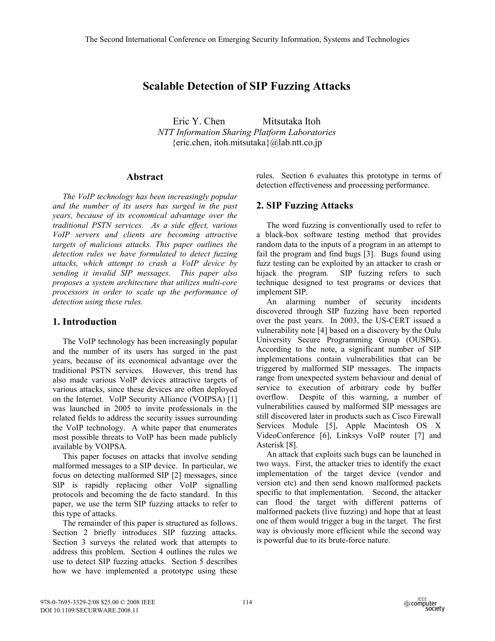# **Scalable Detection of SIP Fuzzing Attacks**

Eric Y. Chen Mitsutaka Itoh *NTT Information Sharing Platform Laboratories*   ${circ.chen, itoh.mitsutaka} @$ lab.ntt.co.jp

## **Abstract**

*The VoIP technology has been increasingly popular and the number of its users has surged in the past years, because of its economical advantage over the traditional PSTN services. As a side effect, various VoIP servers and clients are becoming attractive targets of malicious attacks. This paper outlines the detection rules we have formulated to detect fuzzing attacks, which attempt to crash a VoIP device by sending it invalid SIP messages. This paper also proposes a system architecture that utilizes multi-core processors in order to scale up the performance of detection using these rules.* 

## **1. Introduction**

The VoIP technology has been increasingly popular and the number of its users has surged in the past years, because of its economical advantage over the traditional PSTN services. However, this trend has also made various VoIP devices attractive targets of various attacks, since these devices are often deployed on the Internet. VoIP Security Alliance (VOIPSA) [1] was launched in 2005 to invite professionals in the related fields to address the security issues surrounding the VoIP technology. A white paper that enumerates most possible threats to VoIP has been made publicly available by VOIPSA.

This paper focuses on attacks that involve sending malformed messages to a SIP device. In particular, we focus on detecting malformed SIP [2] messages, since SIP is rapidly replacing other VoIP signalling protocols and becoming the de facto standard. In this paper, we use the term SIP fuzzing attacks to refer to this type of attacks.

The remainder of this paper is structured as follows. Section 2 briefly introduces SIP fuzzing attacks. Section 3 surveys the related work that attempts to address this problem. Section 4 outlines the rules we use to detect SIP fuzzing attacks. Section 5 describes how we have implemented a prototype using these rules. Section 6 evaluates this prototype in terms of detection effectiveness and processing performance.

## **2. SIP Fuzzing Attacks**

The word fuzzing is conventionally used to refer to a black-box software testing method that provides random data to the inputs of a program in an attempt to fail the program and find bugs [3]. Bugs found using fuzz testing can be exploited by an attacker to crash or hijack the program. SIP fuzzing refers to such technique designed to test programs or devices that implement SIP.

An alarming number of security incidents discovered through SIP fuzzing have been reported over the past years. In 2003, the US-CERT issued a vulnerability note [4] based on a discovery by the Oulu University Secure Programming Group (OUSPG). According to the note, a significant number of SIP implementations contain vulnerabilities that can be triggered by malformed SIP messages. The impacts range from unexpected system behaviour and denial of service to execution of arbitrary code by buffer overflow. Despite of this warning, a number of vulnerabilities caused by malformed SIP messages are still discovered later in products such as Cisco Firewall Services Module [5], Apple Macintosh OS X VideoConference [6], Linksys VoIP router [7] and Asterisk [8].

An attack that exploits such bugs can be launched in two ways. First, the attacker tries to identify the exact implementation of the target device (vendor and version etc) and then send known malformed packets specific to that implementation. Second, the attacker can flood the target with different patterns of malformed packets (live fuzzing) and hope that at least one of them would trigger a bug in the target. The first way is obviously more efficient while the second way is powerful due to its brute-force nature.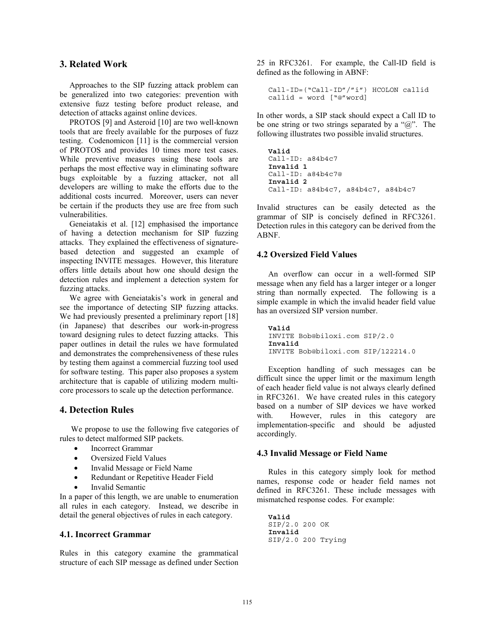## **3. Related Work**

Approaches to the SIP fuzzing attack problem can be generalized into two categories: prevention with extensive fuzz testing before product release, and detection of attacks against online devices.

PROTOS [9] and Asteroid [10] are two well-known tools that are freely available for the purposes of fuzz testing. Codenomicon [11] is the commercial version of PROTOS and provides 10 times more test cases. While preventive measures using these tools are perhaps the most effective way in eliminating software bugs exploitable by a fuzzing attacker, not all developers are willing to make the efforts due to the additional costs incurred. Moreover, users can never be certain if the products they use are free from such vulnerabilities.

Geneiatakis et al. [12] emphasised the importance of having a detection mechanism for SIP fuzzing attacks. They explained the effectiveness of signaturebased detection and suggested an example of inspecting INVITE messages. However, this literature offers little details about how one should design the detection rules and implement a detection system for fuzzing attacks.

We agree with Geneiatakis's work in general and see the importance of detecting SIP fuzzing attacks. We had previously presented a preliminary report [18] (in Japanese) that describes our work-in-progress toward designing rules to detect fuzzing attacks. This paper outlines in detail the rules we have formulated and demonstrates the comprehensiveness of these rules by testing them against a commercial fuzzing tool used for software testing. This paper also proposes a system architecture that is capable of utilizing modern multicore processors to scale up the detection performance.

## **4. Detection Rules**

We propose to use the following five categories of rules to detect malformed SIP packets.

- Incorrect Grammar
- Oversized Field Values
- Invalid Message or Field Name
- Redundant or Repetitive Header Field
- Invalid Semantic

In a paper of this length, we are unable to enumeration all rules in each category. Instead, we describe in detail the general objectives of rules in each category.

## **4.1. Incorrect Grammar**

Rules in this category examine the grammatical structure of each SIP message as defined under Section 25 in RFC3261. For example, the Call-ID field is defined as the following in ABNF:

```
Call-ID=("Call-ID"/"i") HCOLON callid 
callid = word ["@"word]
```
In other words, a SIP stack should expect a Call ID to be one string or two strings separated by a " $@$ ". The following illustrates two possible invalid structures.

```
Valid 
Call-ID: a84b4c7
Invalid 1 
Call-ID: a84b4c7@
Invalid 2 
Call-ID: a84b4c7, a84b4c7, a84b4c7
```
Invalid structures can be easily detected as the grammar of SIP is concisely defined in RFC3261. Detection rules in this category can be derived from the ABNF.

#### **4.2 Oversized Field Values**

An overflow can occur in a well-formed SIP message when any field has a larger integer or a longer string than normally expected. The following is a simple example in which the invalid header field value has an oversized SIP version number.

**Valid**  INVITE Bob@biloxi.com SIP/2.0 **Invalid**  INVITE Bob@biloxi.com SIP/122214.0

Exception handling of such messages can be difficult since the upper limit or the maximum length of each header field value is not always clearly defined in RFC3261. We have created rules in this category based on a number of SIP devices we have worked with. However, rules in this category are implementation-specific and should be adjusted accordingly.

#### **4.3 Invalid Message or Field Name**

Rules in this category simply look for method names, response code or header field names not defined in RFC3261. These include messages with mismatched response codes. For example:

```
Valid 
SIP/2.0 200 OK 
Invalid 
SIP/2.0 200 Trying
```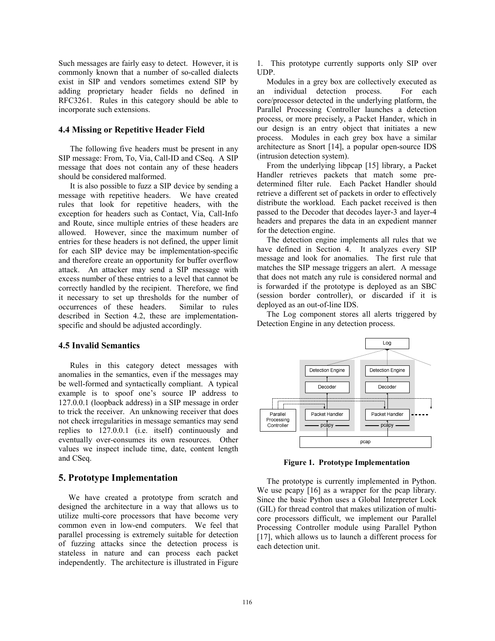Such messages are fairly easy to detect. However, it is commonly known that a number of so-called dialects exist in SIP and vendors sometimes extend SIP by adding proprietary header fields no defined in RFC3261. Rules in this category should be able to incorporate such extensions.

#### **4.4 Missing or Repetitive Header Field**

The following five headers must be present in any SIP message: From, To, Via, Call-ID and CSeq. A SIP message that does not contain any of these headers should be considered malformed.

It is also possible to fuzz a SIP device by sending a message with repetitive headers. We have created rules that look for repetitive headers, with the exception for headers such as Contact, Via, Call-Info and Route, since multiple entries of these headers are allowed. However, since the maximum number of entries for these headers is not defined, the upper limit for each SIP device may be implementation-specific and therefore create an opportunity for buffer overflow attack. An attacker may send a SIP message with excess number of these entries to a level that cannot be correctly handled by the recipient. Therefore, we find it necessary to set up thresholds for the number of occurrences of these headers. Similar to rules described in Section 4.2, these are implementationspecific and should be adjusted accordingly.

## **4.5 Invalid Semantics**

Rules in this category detect messages with anomalies in the semantics, even if the messages may be well-formed and syntactically compliant. A typical example is to spoof one's source IP address to 127.0.0.1 (loopback address) in a SIP message in order to trick the receiver. An unknowing receiver that does not check irregularities in message semantics may send replies to 127.0.0.1 (i.e. itself) continuously and eventually over-consumes its own resources. Other values we inspect include time, date, content length and CSeq.

## **5. Prototype Implementation**

We have created a prototype from scratch and designed the architecture in a way that allows us to utilize multi-core processors that have become very common even in low-end computers. We feel that parallel processing is extremely suitable for detection of fuzzing attacks since the detection process is stateless in nature and can process each packet independently. The architecture is illustrated in Figure

1. This prototype currently supports only SIP over UDP.

Modules in a grey box are collectively executed as an individual detection process. For each core/processor detected in the underlying platform, the Parallel Processing Controller launches a detection process, or more precisely, a Packet Hander, which in our design is an entry object that initiates a new process. Modules in each grey box have a similar architecture as Snort [14], a popular open-source IDS (intrusion detection system).

From the underlying libpcap [15] library, a Packet Handler retrieves packets that match some predetermined filter rule. Each Packet Handler should retrieve a different set of packets in order to effectively distribute the workload. Each packet received is then passed to the Decoder that decodes layer-3 and layer-4 headers and prepares the data in an expedient manner for the detection engine.

The detection engine implements all rules that we have defined in Section 4. It analyzes every SIP message and look for anomalies. The first rule that matches the SIP message triggers an alert. A message that does not match any rule is considered normal and is forwarded if the prototype is deployed as an SBC (session border controller), or discarded if it is deployed as an out-of-line IDS.

The Log component stores all alerts triggered by Detection Engine in any detection process.



**Figure 1. Prototype Implementation**

The prototype is currently implemented in Python. We use pcapy [16] as a wrapper for the pcap library. Since the basic Python uses a Global Interpreter Lock (GIL) for thread control that makes utilization of multicore processors difficult, we implement our Parallel Processing Controller module using Parallel Python [17], which allows us to launch a different process for each detection unit.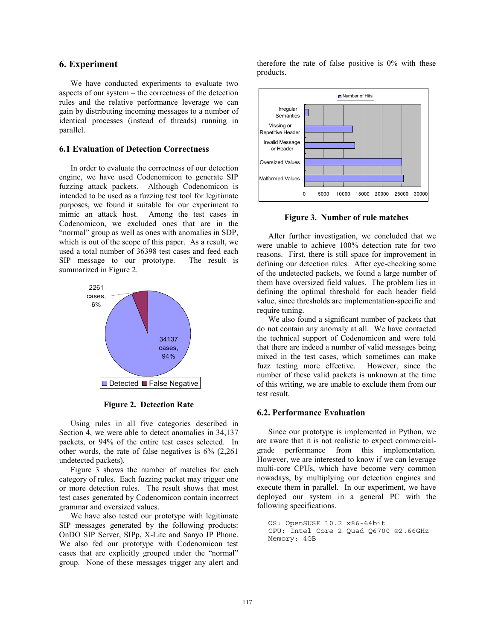## **6. Experiment**

We have conducted experiments to evaluate two aspects of our system – the correctness of the detection rules and the relative performance leverage we can gain by distributing incoming messages to a number of identical processes (instead of threads) running in parallel.

## **6.1 Evaluation of Detection Correctness**

In order to evaluate the correctness of our detection engine, we have used Codenomicon to generate SIP fuzzing attack packets. Although Codenomicon is intended to be used as a fuzzing test tool for legitimate purposes, we found it suitable for our experiment to mimic an attack host. Among the test cases in Codenomicon, we excluded ones that are in the "normal" group as well as ones with anomalies in SDP, which is out of the scope of this paper. As a result, we used a total number of 36398 test cases and feed each SIP message to our prototype. The result is summarized in Figure 2.



**Figure 2. Detection Rate**

Using rules in all five categories described in Section 4, we were able to detect anomalies in 34,137 packets, or 94% of the entire test cases selected. In other words, the rate of false negatives is 6% (2,261 undetected packets).

Figure 3 shows the number of matches for each category of rules. Each fuzzing packet may trigger one or more detection rules. The result shows that most test cases generated by Codenomicon contain incorrect grammar and oversized values.

We have also tested our prototype with legitimate SIP messages generated by the following products: OnDO SIP Server, SIPp, X-Lite and Sanyo IP Phone. We also fed our prototype with Codenomicon test cases that are explicitly grouped under the "normal" group. None of these messages trigger any alert and therefore the rate of false positive is 0% with these products.



**Figure 3. Number of rule matches**

After further investigation, we concluded that we were unable to achieve 100% detection rate for two reasons. First, there is still space for improvement in defining our detection rules. After eye-checking some of the undetected packets, we found a large number of them have oversized field values. The problem lies in defining the optimal threshold for each header field value, since thresholds are implementation-specific and require tuning.

We also found a significant number of packets that do not contain any anomaly at all. We have contacted the technical support of Codenomicon and were told that there are indeed a number of valid messages being mixed in the test cases, which sometimes can make fuzz testing more effective. However, since the number of these valid packets is unknown at the time of this writing, we are unable to exclude them from our test result.

#### **6.2. Performance Evaluation**

Since our prototype is implemented in Python, we are aware that it is not realistic to expect commercialgrade performance from this implementation. However, we are interested to know if we can leverage multi-core CPUs, which have become very common nowadays, by multiplying our detection engines and execute them in parallel. In our experiment, we have deployed our system in a general PC with the following specifications.

```
OS: OpenSUSE 10.2 x86-64bit 
CPU: Intel Core 2 Quad Q6700 @2.66GHz 
Memory: 4GB
```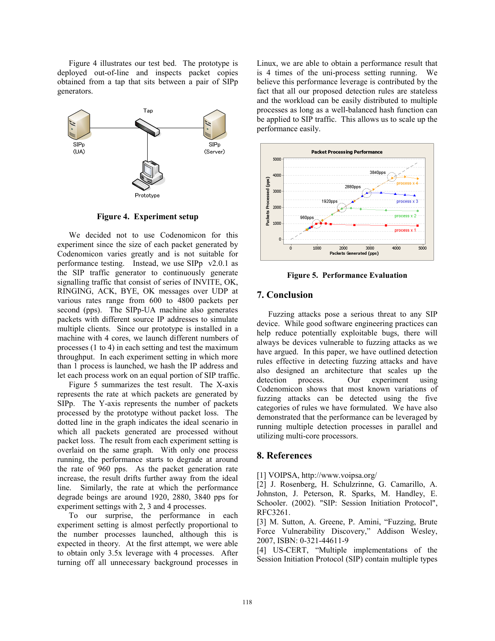Figure 4 illustrates our test bed. The prototype is deployed out-of-line and inspects packet copies obtained from a tap that sits between a pair of SIPp generators.



**Figure 4. Experiment setup**

We decided not to use Codenomicon for this experiment since the size of each packet generated by Codenomicon varies greatly and is not suitable for performance testing. Instead, we use SIPp v2.0.1 as the SIP traffic generator to continuously generate signalling traffic that consist of series of INVITE, OK, RINGING, ACK, BYE, OK messages over UDP at various rates range from 600 to 4800 packets per second (pps). The SIPp-UA machine also generates packets with different source IP addresses to simulate multiple clients. Since our prototype is installed in a machine with 4 cores, we launch different numbers of processes (1 to 4) in each setting and test the maximum throughput. In each experiment setting in which more than 1 process is launched, we hash the IP address and let each process work on an equal portion of SIP traffic.

Figure 5 summarizes the test result. The X-axis represents the rate at which packets are generated by SIPp. The Y-axis represents the number of packets processed by the prototype without packet loss. The dotted line in the graph indicates the ideal scenario in which all packets generated are processed without packet loss. The result from each experiment setting is overlaid on the same graph. With only one process running, the performance starts to degrade at around the rate of 960 pps. As the packet generation rate increase, the result drifts further away from the ideal line. Similarly, the rate at which the performance degrade beings are around 1920, 2880, 3840 pps for experiment settings with 2, 3 and 4 processes.

To our surprise, the performance in each experiment setting is almost perfectly proportional to the number processes launched, although this is expected in theory. At the first attempt, we were able to obtain only 3.5x leverage with 4 processes. After turning off all unnecessary background processes in Linux, we are able to obtain a performance result that is 4 times of the uni-process setting running. We believe this performance leverage is contributed by the fact that all our proposed detection rules are stateless and the workload can be easily distributed to multiple processes as long as a well-balanced hash function can be applied to SIP traffic. This allows us to scale up the performance easily.



**Figure 5. Performance Evaluation** 

## **7. Conclusion**

Fuzzing attacks pose a serious threat to any SIP device. While good software engineering practices can help reduce potentially exploitable bugs, there will always be devices vulnerable to fuzzing attacks as we have argued. In this paper, we have outlined detection rules effective in detecting fuzzing attacks and have also designed an architecture that scales up the detection process. Our experiment using Codenomicon shows that most known variations of fuzzing attacks can be detected using the five categories of rules we have formulated. We have also demonstrated that the performance can be leveraged by running multiple detection processes in parallel and utilizing multi-core processors.

## **8. References**

[1] VOIPSA, http://www.voipsa.org/

[2] J. Rosenberg, H. Schulzrinne, G. Camarillo, A. Johnston, J. Peterson, R. Sparks, M. Handley, E. Schooler. (2002). "SIP: Session Initiation Protocol", RFC3261.

[3] M. Sutton, A. Greene, P. Amini, "Fuzzing, Brute Force Vulnerability Discovery," Addison Wesley, 2007, ISBN: 0-321-44611-9

[4] US-CERT, "Multiple implementations of the Session Initiation Protocol (SIP) contain multiple types